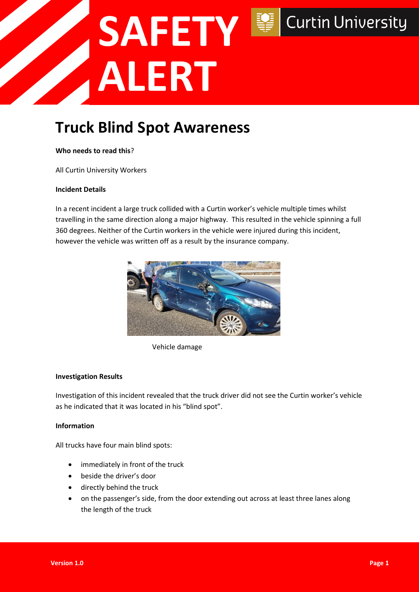# **SAFETY Curtin University ALERT**

### **Truck Blind Spot Awareness**

#### **Who needs to read this**?

All Curtin University Workers

#### **Incident Details**

In a recent incident a large truck collided with a Curtin worker's vehicle multiple times whilst travelling in the same direction along a major highway. This resulted in the vehicle spinning a full 360 degrees. Neither of the Curtin workers in the vehicle were injured during this incident, however the vehicle was written off as a result by the insurance company.



Vehicle damage

#### **Investigation Results**

Investigation of this incident revealed that the truck driver did not see the Curtin worker's vehicle as he indicated that it was located in his "blind spot".

#### **Information**

All trucks have four main blind spots:

- immediately in front of the truck
- beside the driver's door
- directly behind the truck
- on the passenger's side, from the door extending out across at least three lanes along the length of the truck